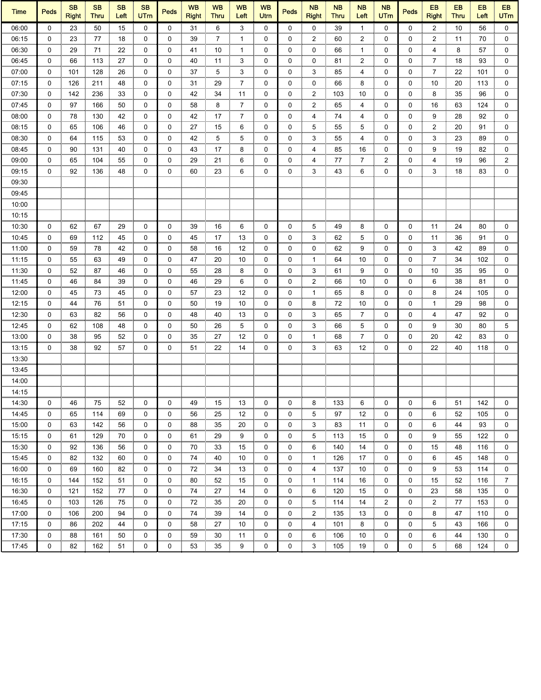| <b>Time</b> | <b>Peds</b> | <b>SB</b><br><b>Right</b> | <b>SB</b><br><b>Thru</b> | <b>SB</b><br>Left | <b>SB</b><br><b>UTm</b> | Peds        | <b>WB</b><br><b>Right</b> | <b>WB</b><br><b>Thru</b> | <b>WB</b><br>Left | <b>WB</b><br>Utrn | <b>Peds</b>  | <b>NB</b><br><b>Right</b> | <b>NB</b><br><b>Thru</b> | <b>NB</b><br>Left | <b>NB</b><br>UTm | <b>Peds</b> | EB<br><b>Right</b> | <b>EB</b><br><b>Thru</b> | <b>EB</b><br>Left | EB<br><b>UTm</b> |
|-------------|-------------|---------------------------|--------------------------|-------------------|-------------------------|-------------|---------------------------|--------------------------|-------------------|-------------------|--------------|---------------------------|--------------------------|-------------------|------------------|-------------|--------------------|--------------------------|-------------------|------------------|
| 06:00       | $\Omega$    | 23                        | 50                       | 15                | $\mathbf 0$             | $\mathbf 0$ | 31                        | 6                        | 3                 | 0                 | $\mathbf{0}$ | 0                         | 39                       | $\mathbf{1}$      | $\Omega$         | $\Omega$    | $\overline{2}$     | 10                       | 56                | $\mathbf 0$      |
| 06:15       | 0           | 23                        | 77                       | 18                | 0                       | 0           | 39                        | 7                        | 1                 | 0                 | 0            | $\overline{2}$            | 60                       | 2                 | 0                | 0           | 2                  | 11                       | 70                | 0                |
| 06:30       | 0           | 29                        | 71                       | 22                | 0                       | 0           | 41                        | 10                       | 1                 | 0                 | 0            | 0                         | 66                       | 1                 | 0                | 0           | 4                  | 8                        | 57                | 0                |
| 06:45       | 0           | 66                        | 113                      | 27                | 0                       | 0           | 40                        | 11                       | 3                 | 0                 | 0            | 0                         | 81                       | 2                 | 0                | 0           | 7                  | 18                       | 93                | 0                |
| 07:00       | 0           | 101                       | 128                      | 26                | 0                       | 0           | 37                        | 5                        | 3                 | 0                 | 0            | 3                         | 85                       | 4                 | 0                | 0           | 7                  | 22                       | 101               | 0                |
| 07:15       | 0           | 126                       | 211                      | 48                | 0                       | 0           | 31                        | 29                       | 7                 | 0                 | 0            | 0                         | 66                       | 8                 | 0                | 0           | 10                 | 20                       | 113               | 0                |
| 07:30       | 0           | 142                       | 236                      | 33                | 0                       | 0           | 42                        | 34                       | 11                | 0                 | 0            | 2                         | 103                      | 10                | 0                | 0           | 8                  | 35                       | 96                | 0                |
| 07:45       | 0           | 97                        | 166                      | 50                | 0                       | 0           | 58                        | 8                        | 7                 | 0                 | 0            | 2                         | 65                       | 4                 | 0                | 0           | 16                 | 63                       | 124               | 0                |
| 08:00       | 0           | 78                        | 130                      | 42                | 0                       | 0           | 42                        | 17                       | $\overline{7}$    | 0                 | 0            | 4                         | 74                       | 4                 | 0                | 0           | 9                  | 28                       | 92                | 0                |
| 08:15       | $\mathbf 0$ | 65                        | 106                      | 46                | $\mathbf 0$             | 0           | 27                        | 15                       | 6                 | 0                 | 0            | 5                         | 55                       | 5                 | 0                | 0           | $\overline{2}$     | 20                       | 91                | 0                |
| 08:30       | 0           | 64                        | 115                      | 53                | 0                       | 0           | 42                        | 5                        | 5                 | 0                 | 0            | 3                         | 55                       | 4                 | 0                | 0           | 3                  | 23                       | 89                | 0                |
| 08:45       | 0           | 90                        | 131                      | 40                | $\mathbf 0$             | 0           | 43                        | 17                       | 8                 | 0                 | 0            | 4                         | 85                       | 16                | 0                | 0           | 9                  | 19                       | 82                | 0                |
| 09:00       | 0           | 65                        | 104                      | 55                | 0                       | 0           | 29                        | 21                       | 6                 | 0                 | 0            | 4                         | 77                       | 7                 | $\mathbf{2}$     | 0           | 4                  | 19                       | 96                | $\overline{2}$   |
| 09:15       | 0           | 92                        | 136                      | 48                | 0                       | 0           | 60                        | 23                       | 6                 | 0                 | 0            | 3                         | 43                       | 6                 | 0                | 0           | 3                  | 18                       | 83                | $\mathbf 0$      |
|             |             |                           |                          |                   |                         |             |                           |                          |                   |                   |              |                           |                          |                   |                  |             |                    |                          |                   |                  |
| 09:30       |             |                           |                          |                   |                         |             |                           |                          |                   |                   |              |                           |                          |                   |                  |             |                    |                          |                   |                  |
| 09:45       |             |                           |                          |                   |                         |             |                           |                          |                   |                   |              |                           |                          |                   |                  |             |                    |                          |                   |                  |
| 10:00       |             |                           |                          |                   |                         |             |                           |                          |                   |                   |              |                           |                          |                   |                  |             |                    |                          |                   |                  |
| 10:15       |             |                           |                          |                   |                         |             |                           |                          |                   |                   |              |                           |                          |                   |                  |             |                    |                          |                   |                  |
| 10:30       | 0           | 62                        | 67                       | 29                | 0                       | 0           | 39                        | 16                       | 6                 | 0                 | 0            | 5                         | 49                       | 8                 | 0                | 0           | 11                 | 24                       | 80                | 0                |
| 10:45       | 0           | 69                        | 112                      | 45                | 0                       | 0           | 45                        | 17                       | 13                | 0                 | 0            | 3                         | 62                       | 5                 | 0                | 0           | 11                 | 36                       | 91                | 0                |
| 11:00       | 0           | 59                        | 78                       | 42                | 0                       | 0           | 58                        | 16                       | 12                | 0                 | 0            | 0                         | 62                       | 9                 | 0                | 0           | 3                  | 42                       | 89                | 0                |
| 11:15       | 0           | 55                        | 63                       | 49                | 0                       | 0           | 47                        | 20                       | 10                | 0                 | 0            | $\mathbf{1}$              | 64                       | 10                | 0                | 0           | 7                  | 34                       | 102               | 0                |
| 11:30       | 0           | 52                        | 87                       | 46                | $\mathbf 0$             | 0           | 55                        | 28                       | 8                 | 0                 | 0            | 3                         | 61                       | 9                 | 0                | 0           | 10                 | 35                       | 95                | 0                |
| 11:45       | 0           | 46                        | 84                       | 39                | 0                       | 0           | 46                        | 29                       | 6                 | 0                 | 0            | 2                         | 66                       | 10                | 0                | 0           | 6                  | 38                       | 81                | 0                |
| 12:00       | 0           | 45                        | 73                       | 45                | 0                       | 0           | 57                        | 23                       | 12                | 0                 | 0            | $\mathbf{1}$              | 65                       | 8                 | 0                | 0           | 8                  | 24                       | 105               | 0                |
| 12:15       | 0           | 44                        | 76                       | 51                | 0                       | 0           | 50                        | 19                       | 10                | 0                 | 0            | 8                         | 72                       | 10                | 0                | 0           | 1                  | 29                       | 98                | 0                |
| 12:30       | 0           | 63                        | 82                       | 56                | 0                       | 0           | 48                        | 40                       | 13                | 0                 | 0            | 3                         | 65                       | 7                 | 0                | 0           | 4                  | 47                       | 92                | 0                |
| 12:45       | 0           | 62                        | 108                      | 48                | 0                       | 0           | 50                        | 26                       | 5                 | 0                 | 0            | 3                         | 66                       | 5                 | 0                | 0           | 9                  | 30                       | 80                | 5                |
| 13:00       | 0           | 38                        | 95                       | 52                | 0                       | 0           | 35                        | 27                       | 12                | 0                 | 0            | 1                         | 68                       | 7                 | 0                | 0           | 20                 | 42                       | 83                | 0                |
| 13:15       | 0           | 38                        | 92                       | 57                | 0                       | 0           | 51                        | 22                       | 14                | 0                 | 0            | 3                         | 63                       | 12                | 0                | 0           | 22                 | 40                       | 118               | 0                |
| 13:30       |             |                           |                          |                   |                         |             |                           |                          |                   |                   |              |                           |                          |                   |                  |             |                    |                          |                   |                  |
| 13:45       |             |                           |                          |                   |                         |             |                           |                          |                   |                   |              |                           |                          |                   |                  |             |                    |                          |                   |                  |
| 14:00       |             |                           |                          |                   |                         |             |                           |                          |                   |                   |              |                           |                          |                   |                  |             |                    |                          |                   |                  |
| 14:15       |             |                           |                          |                   |                         |             |                           |                          |                   |                   |              |                           |                          |                   |                  |             |                    |                          |                   |                  |
| 14:30       | 0           | 46                        | 75                       | 52                | 0                       | 0           | 49                        | 15                       | 13                | 0                 | 0            | 8                         | 133                      | 6                 | 0                | 0           | 6                  | 51                       | 142               | 0                |
| 14:45       | 0           | 65                        | 114                      | 69                | 0                       | 0           | 56                        | 25                       | 12                | 0                 | 0            | 5                         | 97                       | 12                | 0                | 0           | 6                  | 52                       | 105               | 0                |
|             |             |                           |                          |                   |                         |             |                           |                          |                   |                   |              |                           |                          |                   |                  |             |                    |                          |                   |                  |
| 15:00       | 0           | 63                        | 142                      | 56                | 0                       | 0           | 88                        | 35                       | 20                | 0                 | 0            | 3                         | 83                       | 11                | 0                | 0           | 6                  | 44                       | 93                | 0                |
| 15:15       | 0           | 61                        | 129                      | 70                | 0                       | 0           | 61                        | 29                       | 9                 | 0                 | 0            | 5                         | 113                      | 15                | 0                | 0           | 9                  | 55                       | 122               | 0                |
| 15:30       | 0           | 92                        | 136                      | 56                | 0                       | 0           | 70                        | 33                       | 15                | 0                 | 0            | 6                         | 140                      | 14                | 0                | 0           | 15                 | 48                       | 116               | 0                |
| 15:45       | 0           | 82                        | 132                      | 60                | 0                       | 0           | 74                        | 40                       | 10                | 0                 | 0            | 1                         | 126                      | 17                | 0                | 0           | 6                  | 45                       | 148               | 0                |
| 16:00       | 0           | 69                        | 160                      | 82                | 0                       | 0           | 72                        | 34                       | 13                | 0                 | 0            | 4                         | 137                      | 10                | 0                | 0           | 9                  | 53                       | 114               | 0                |
| 16:15       | 0           | 144                       | 152                      | 51                | 0                       | 0           | 80                        | 52                       | 15                | 0                 | 0            | 1                         | 114                      | 16                | 0                | 0           | 15                 | 52                       | 116               | 7                |
| 16:30       | 0           | 121                       | 152                      | 77                | 0                       | 0           | 74                        | 27                       | 14                | 0                 | 0            | 6                         | 120                      | 15                | 0                | 0           | 23                 | 58                       | 135               | 0                |
| 16:45       | 0           | 103                       | 126                      | 75                | 0                       | 0           | 72                        | 35                       | 20                | 0                 | 0            | 5                         | 114                      | 14                | 2                | 0           | 2                  | 77                       | 153               | 0                |
| 17:00       | 0           | 106                       | 200                      | 94                | 0                       | 0           | 74                        | 39                       | 14                | 0                 | 0            | 2                         | 135                      | 13                | 0                | 0           | 8                  | 47                       | 110               | 0                |
| 17:15       | 0           | 86                        | 202                      | 44                | 0                       | 0           | 58                        | 27                       | 10                | 0                 | 0            | 4                         | 101                      | 8                 | 0                | 0           | 5                  | 43                       | 166               | 0                |
| 17:30       | 0           | 88                        | 161                      | 50                | 0                       | 0           | 59                        | 30                       | 11                | 0                 | 0            | 6                         | 106                      | 10                | 0                | 0           | 6                  | 44                       | 130               | 0                |
| 17:45       | 0           | 82                        | 162                      | 51                | $\mathbf 0$             | 0           | 53                        | 35                       | 9                 | 0                 | 0            | 3                         | 105                      | 19                | 0                | 0           | 5                  | 68                       | 124               | 0                |